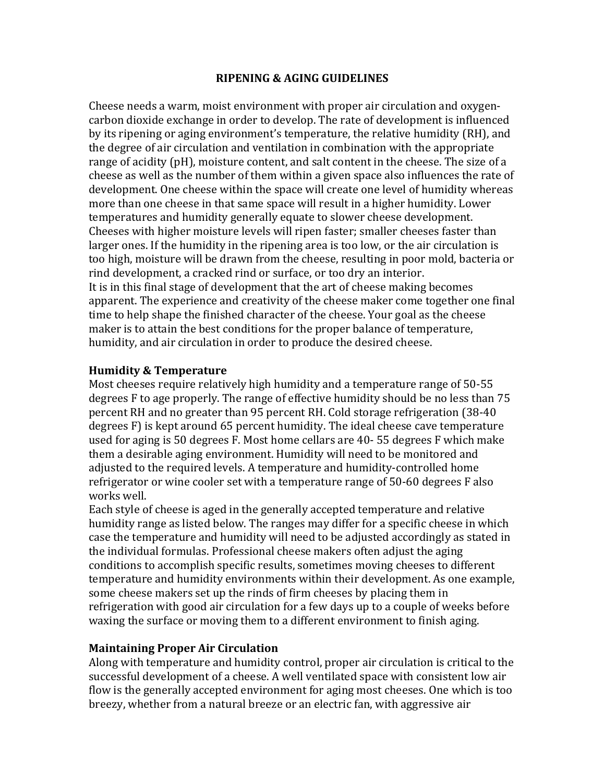## **RIPENING & AGING GUIDELINES**

Cheese needs a warm, moist environment with proper air circulation and oxygen‐ carbon dioxide exchange in order to develop. The rate of development is influenced by its ripening or aging environment's temperature, the relative humidity (RH), and the degree of air circulation and ventilation in combination with the appropriate range of acidity (pH), moisture content, and salt content in the cheese. The size of a cheese as well as the number of them within a given space also influences the rate of development. One cheese within the space will create one level of humidity whereas more than one cheese in that same space will result in a higher humidity. Lower temperatures and humidity generally equate to slower cheese development. Cheeses with higher moisture levels will ripen faster; smaller cheeses faster than larger ones. If the humidity in the ripening area is too low, or the air circulation is too high, moisture will be drawn from the cheese, resulting in poor mold, bacteria or rind development, a cracked rind or surface, or too dry an interior. It is in this final stage of development that the art of cheese making becomes apparent. The experience and creativity of the cheese maker come together one final time to help shape the finished character of the cheese. Your goal as the cheese maker is to attain the best conditions for the proper balance of temperature, humidity, and air circulation in order to produce the desired cheese.

## **Humidity & Temperature**

Most cheeses require relatively high humidity and a temperature range of 50‐55 degrees F to age properly. The range of effective humidity should be no less than 75 percent RH and no greater than 95 percent RH. Cold storage refrigeration (38‐40 degrees F) is kept around 65 percent humidity. The ideal cheese cave temperature used for aging is 50 degrees F. Most home cellars are 40‐ 55 degrees F which make them a desirable aging environment. Humidity will need to be monitored and adjusted to the required levels. A temperature and humidity‐controlled home refrigerator or wine cooler set with a temperature range of 50‐60 degrees F also works well.

Each style of cheese is aged in the generally accepted temperature and relative humidity range as listed below. The ranges may differ for a specific cheese in which case the temperature and humidity will need to be adjusted accordingly as stated in the individual formulas. Professional cheese makers often adjust the aging conditions to accomplish specific results, sometimes moving cheeses to different temperature and humidity environments within their development. As one example, some cheese makers set up the rinds of firm cheeses by placing them in refrigeration with good air circulation for a few days up to a couple of weeks before waxing the surface or moving them to a different environment to finish aging.

## **Maintaining Proper Air Circulation**

Along with temperature and humidity control, proper air circulation is critical to the successful development of a cheese. A well ventilated space with consistent low air flow is the generally accepted environment for aging most cheeses. One which is too breezy, whether from a natural breeze or an electric fan, with aggressive air